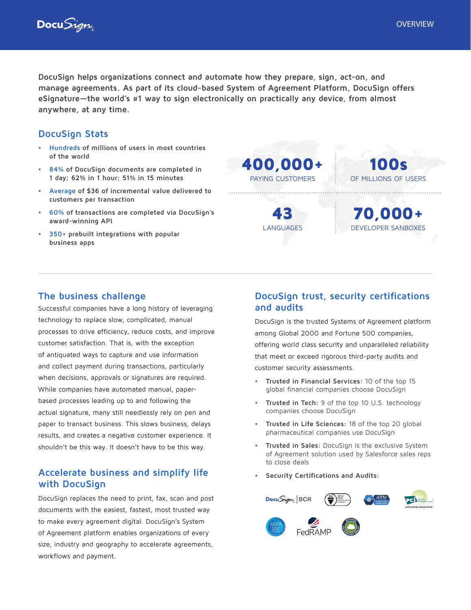



**DocuSign helps organizations connect and automate how they prepare, sign, act-on, and manage agreements. As part of its cloud-based System of Agreement Platform, DocuSign offers eSignature—the world's #1 way to sign electronically on practically any device, from almost anywhere, at any time.**

## **DocuSign Stats**

- **• Hundreds of millions of users in most countries of the world**
- **• 84% of DocuSign documents are completed in 1 day; 62% in 1 hour; 51% in 15 minutes**
- **• Average of \$36 of incremental value delivered to customers per transaction**
- **• 60% of transactions are completed via DocuSign's award-winning API**
- **• 350+ prebuilt integrations with popular business apps**

400,000+ PAYING CUSTOMERS 43 LANGUAGES 100s OF MILLIONS OF USERS 70,000+ DEVELOPER SANBOXES

## **The business challenge**

Successful companies have a long history of leveraging technology to replace slow, complicated, manual processes to drive efficiency, reduce costs, and improve customer satisfaction. That is, with the exception of antiquated ways to capture and use information and collect payment during transactions, particularly when decisions, approvals or signatures are required. While companies have automated manual, paperbased processes leading up to and following the actual signature, many still needlessly rely on pen and paper to transact business. This slows business, delays results, and creates a negative customer experience. It shouldn't be this way. It doesn't have to be this way.

# **Accelerate business and simplify life with DocuSign**

DocuSign replaces the need to print, fax, scan and post documents with the easiest, fastest, most trusted way to make every agreement digital. DocuSign's System of Agreement platform enables organizations of every size, industry and geography to accelerate agreements, workflows and payment.

# **DocuSign trust, security certifications and audits**

DocuSign is the trusted Systems of Agreement platform among Global 2000 and Fortune 500 companies, offering world class security and unparalleled reliability that meet or exceed rigorous third-party audits and customer security assessments.

- **• Trusted in Financial Services:** 10 of the top 15 global financial companies choose DocuSign
- **• Trusted in Tech:** 9 of the top 10 U.S. technology companies choose DocuSign
- **• Trusted in Life Sciences:** 18 of the top 20 global pharmaceutical companies use DocuSign
- **• Trusted in Sales:** DocuSign is the exclusive System of Agreement solution used by Salesforce sales reps to close deals
- **• Security Certifications and Audits:**